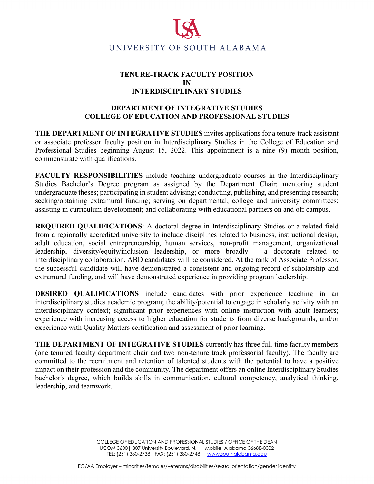

## **TENURE-TRACK FACULTY POSITION IN INTERDISCIPLINARY STUDIES**

## **DEPARTMENT OF INTEGRATIVE STUDIES COLLEGE OF EDUCATION AND PROFESSIONAL STUDIES**

**THE DEPARTMENT OF INTEGRATIVE STUDIES** invites applications for a tenure-track assistant or associate professor faculty position in Interdisciplinary Studies in the College of Education and Professional Studies beginning August 15, 2022. This appointment is a nine (9) month position, commensurate with qualifications.

**FACULTY RESPONSIBILITIES** include teaching undergraduate courses in the Interdisciplinary Studies Bachelor's Degree program as assigned by the Department Chair; mentoring student undergraduate theses; participating in student advising; conducting, publishing, and presenting research; seeking/obtaining extramural funding; serving on departmental, college and university committees; assisting in curriculum development; and collaborating with educational partners on and off campus.

**REQUIRED QUALIFICATIONS**: A doctoral degree in Interdisciplinary Studies or a related field from a regionally accredited university to include disciplines related to business, instructional design, adult education, social entrepreneurship, human services, non-profit management, organizational leadership, diversity/equity/inclusion leadership, or more broadly – a doctorate related to interdisciplinary collaboration. ABD candidates will be considered. At the rank of Associate Professor, the successful candidate will have demonstrated a consistent and ongoing record of scholarship and extramural funding, and will have demonstrated experience in providing program leadership.

**DESIRED QUALIFICATIONS** include candidates with prior experience teaching in an interdisciplinary studies academic program; the ability/potential to engage in scholarly activity with an interdisciplinary context; significant prior experiences with online instruction with adult learners; experience with increasing access to higher education for students from diverse backgrounds; and/or experience with Quality Matters certification and assessment of prior learning.

**THE DEPARTMENT OF INTEGRATIVE STUDIES** currently has three full-time faculty members (one tenured faculty department chair and two non-tenure track professorial faculty). The faculty are committed to the recruitment and retention of talented students with the potential to have a positive impact on their profession and the community. The department offers an online Interdisciplinary Studies bachelor's degree, which builds skills in communication, cultural competency, analytical thinking, leadership, and teamwork.